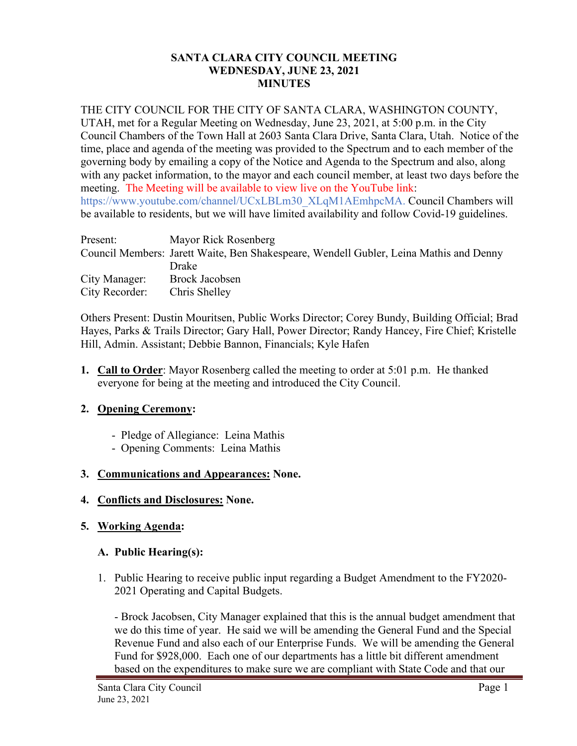### **SANTA CLARA CITY COUNCIL MEETING WEDNESDAY, JUNE 23, 2021 MINUTES**

## THE CITY COUNCIL FOR THE CITY OF SANTA CLARA, WASHINGTON COUNTY,

UTAH, met for a Regular Meeting on Wednesday, June 23, 2021, at 5:00 p.m. in the City Council Chambers of the Town Hall at 2603 Santa Clara Drive, Santa Clara, Utah. Notice of the time, place and agenda of the meeting was provided to the Spectrum and to each member of the governing body by emailing a copy of the Notice and Agenda to the Spectrum and also, along with any packet information, to the mayor and each council member, at least two days before the meeting. The Meeting will be available to view live on the YouTube link: https://www.youtube.com/channel/UCxLBLm30\_XLqM1AEmhpcMA. Council Chambers will be available to residents, but we will have limited availability and follow Covid-19 guidelines.

| Present:       | Mayor Rick Rosenberg                                                                   |
|----------------|----------------------------------------------------------------------------------------|
|                | Council Members: Jarett Waite, Ben Shakespeare, Wendell Gubler, Leina Mathis and Denny |
|                | Drake                                                                                  |
| City Manager:  | <b>Brock Jacobsen</b>                                                                  |
| City Recorder: | Chris Shelley                                                                          |

Others Present: Dustin Mouritsen, Public Works Director; Corey Bundy, Building Official; Brad Hayes, Parks & Trails Director; Gary Hall, Power Director; Randy Hancey, Fire Chief; Kristelle Hill, Admin. Assistant; Debbie Bannon, Financials; Kyle Hafen

**1. Call to Order**: Mayor Rosenberg called the meeting to order at 5:01 p.m. He thanked everyone for being at the meeting and introduced the City Council.

# **2. Opening Ceremony:**

- Pledge of Allegiance: Leina Mathis
- Opening Comments: Leina Mathis

# **3. Communications and Appearances: None.**

**4. Conflicts and Disclosures: None.**

# **5. Working Agenda:**

### **A. Public Hearing(s):**

1. Public Hearing to receive public input regarding a Budget Amendment to the FY2020- 2021 Operating and Capital Budgets.

- Brock Jacobsen, City Manager explained that this is the annual budget amendment that we do this time of year. He said we will be amending the General Fund and the Special Revenue Fund and also each of our Enterprise Funds. We will be amending the General Fund for \$928,000. Each one of our departments has a little bit different amendment based on the expenditures to make sure we are compliant with State Code and that our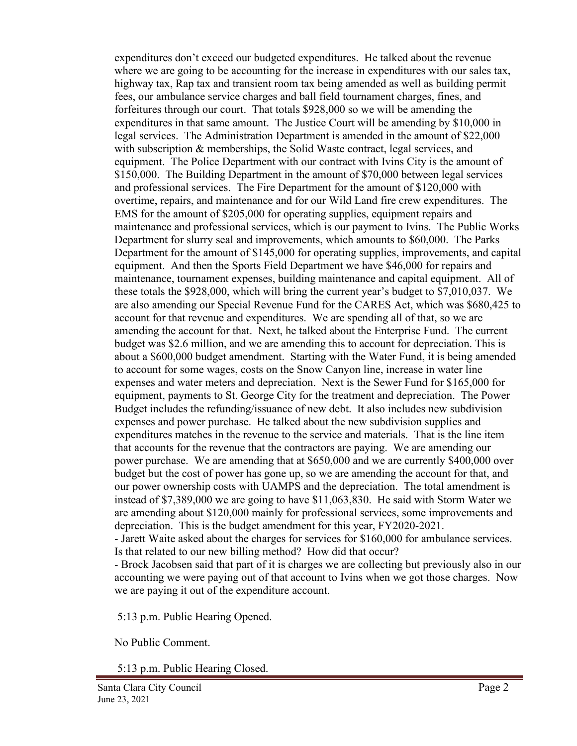expenditures don't exceed our budgeted expenditures. He talked about the revenue where we are going to be accounting for the increase in expenditures with our sales tax, highway tax, Rap tax and transient room tax being amended as well as building permit fees, our ambulance service charges and ball field tournament charges, fines, and forfeitures through our court. That totals \$928,000 so we will be amending the expenditures in that same amount. The Justice Court will be amending by \$10,000 in legal services. The Administration Department is amended in the amount of \$22,000 with subscription & memberships, the Solid Waste contract, legal services, and equipment. The Police Department with our contract with Ivins City is the amount of \$150,000. The Building Department in the amount of \$70,000 between legal services and professional services. The Fire Department for the amount of \$120,000 with overtime, repairs, and maintenance and for our Wild Land fire crew expenditures. The EMS for the amount of \$205,000 for operating supplies, equipment repairs and maintenance and professional services, which is our payment to Ivins. The Public Works Department for slurry seal and improvements, which amounts to \$60,000. The Parks Department for the amount of \$145,000 for operating supplies, improvements, and capital equipment. And then the Sports Field Department we have \$46,000 for repairs and maintenance, tournament expenses, building maintenance and capital equipment. All of these totals the \$928,000, which will bring the current year's budget to \$7,010,037. We are also amending our Special Revenue Fund for the CARES Act, which was \$680,425 to account for that revenue and expenditures. We are spending all of that, so we are amending the account for that. Next, he talked about the Enterprise Fund. The current budget was \$2.6 million, and we are amending this to account for depreciation. This is about a \$600,000 budget amendment. Starting with the Water Fund, it is being amended to account for some wages, costs on the Snow Canyon line, increase in water line expenses and water meters and depreciation. Next is the Sewer Fund for \$165,000 for equipment, payments to St. George City for the treatment and depreciation. The Power Budget includes the refunding/issuance of new debt. It also includes new subdivision expenses and power purchase. He talked about the new subdivision supplies and expenditures matches in the revenue to the service and materials. That is the line item that accounts for the revenue that the contractors are paying. We are amending our power purchase. We are amending that at \$650,000 and we are currently \$400,000 over budget but the cost of power has gone up, so we are amending the account for that, and our power ownership costs with UAMPS and the depreciation. The total amendment is instead of \$7,389,000 we are going to have \$11,063,830. He said with Storm Water we are amending about \$120,000 mainly for professional services, some improvements and depreciation. This is the budget amendment for this year, FY2020-2021.

- Jarett Waite asked about the charges for services for \$160,000 for ambulance services. Is that related to our new billing method? How did that occur?

- Brock Jacobsen said that part of it is charges we are collecting but previously also in our accounting we were paying out of that account to Ivins when we got those charges. Now we are paying it out of the expenditure account.

5:13 p.m. Public Hearing Opened.

No Public Comment.

5:13 p.m. Public Hearing Closed.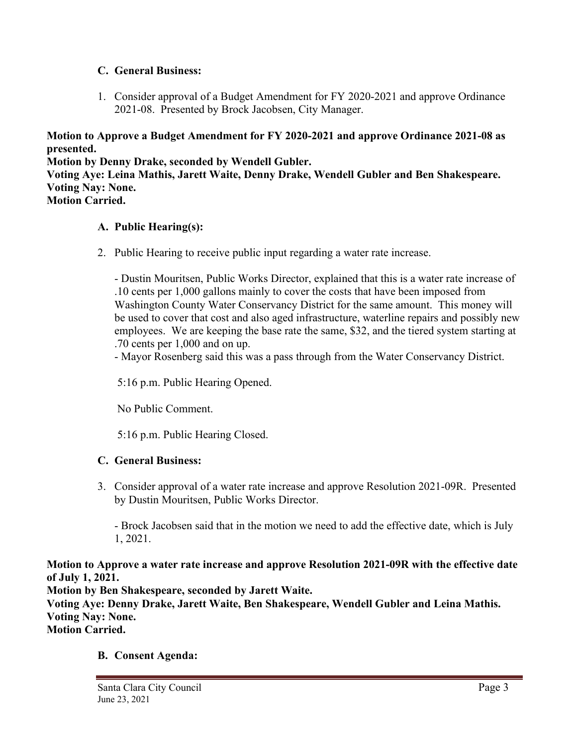## **C. General Business:**

1. Consider approval of a Budget Amendment for FY 2020-2021 and approve Ordinance 2021-08. Presented by Brock Jacobsen, City Manager.

**Motion to Approve a Budget Amendment for FY 2020-2021 and approve Ordinance 2021-08 as presented.**

**Motion by Denny Drake, seconded by Wendell Gubler. Voting Aye: Leina Mathis, Jarett Waite, Denny Drake, Wendell Gubler and Ben Shakespeare. Voting Nay: None. Motion Carried.**

## **A. Public Hearing(s):**

2. Public Hearing to receive public input regarding a water rate increase.

- Dustin Mouritsen, Public Works Director, explained that this is a water rate increase of .10 cents per 1,000 gallons mainly to cover the costs that have been imposed from Washington County Water Conservancy District for the same amount. This money will be used to cover that cost and also aged infrastructure, waterline repairs and possibly new employees. We are keeping the base rate the same, \$32, and the tiered system starting at .70 cents per 1,000 and on up.

- Mayor Rosenberg said this was a pass through from the Water Conservancy District.

5:16 p.m. Public Hearing Opened.

No Public Comment.

5:16 p.m. Public Hearing Closed.

### **C. General Business:**

 3. Consider approval of a water rate increase and approve Resolution 2021-09R. Presented by Dustin Mouritsen, Public Works Director.

- Brock Jacobsen said that in the motion we need to add the effective date, which is July 1, 2021.

**Motion to Approve a water rate increase and approve Resolution 2021-09R with the effective date of July 1, 2021. Motion by Ben Shakespeare, seconded by Jarett Waite. Voting Aye: Denny Drake, Jarett Waite, Ben Shakespeare, Wendell Gubler and Leina Mathis. Voting Nay: None. Motion Carried.**

### **B. Consent Agenda:**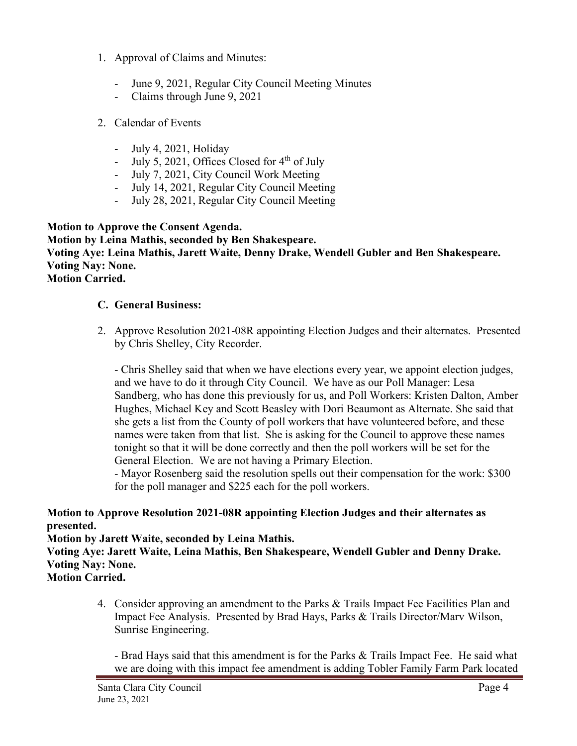- 1. Approval of Claims and Minutes:
	- June 9, 2021, Regular City Council Meeting Minutes
	- Claims through June 9, 2021
- 2. Calendar of Events
	- July 4, 2021, Holiday
	- July 5, 2021, Offices Closed for  $4<sup>th</sup>$  of July
	- July 7, 2021, City Council Work Meeting
	- July 14, 2021, Regular City Council Meeting
	- July 28, 2021, Regular City Council Meeting

### **Motion to Approve the Consent Agenda. Motion by Leina Mathis, seconded by Ben Shakespeare. Voting Aye: Leina Mathis, Jarett Waite, Denny Drake, Wendell Gubler and Ben Shakespeare. Voting Nay: None. Motion Carried.**

## **C. General Business:**

2. Approve Resolution 2021-08R appointing Election Judges and their alternates. Presented by Chris Shelley, City Recorder.

- Chris Shelley said that when we have elections every year, we appoint election judges, and we have to do it through City Council. We have as our Poll Manager: Lesa Sandberg, who has done this previously for us, and Poll Workers: Kristen Dalton, Amber Hughes, Michael Key and Scott Beasley with Dori Beaumont as Alternate. She said that she gets a list from the County of poll workers that have volunteered before, and these names were taken from that list. She is asking for the Council to approve these names tonight so that it will be done correctly and then the poll workers will be set for the General Election. We are not having a Primary Election.

- Mayor Rosenberg said the resolution spells out their compensation for the work: \$300 for the poll manager and \$225 each for the poll workers.

## **Motion to Approve Resolution 2021-08R appointing Election Judges and their alternates as presented.**

**Motion by Jarett Waite, seconded by Leina Mathis.**

**Voting Aye: Jarett Waite, Leina Mathis, Ben Shakespeare, Wendell Gubler and Denny Drake. Voting Nay: None.**

**Motion Carried.**

4. Consider approving an amendment to the Parks & Trails Impact Fee Facilities Plan and Impact Fee Analysis. Presented by Brad Hays, Parks & Trails Director/Marv Wilson, Sunrise Engineering.

- Brad Hays said that this amendment is for the Parks & Trails Impact Fee. He said what we are doing with this impact fee amendment is adding Tobler Family Farm Park located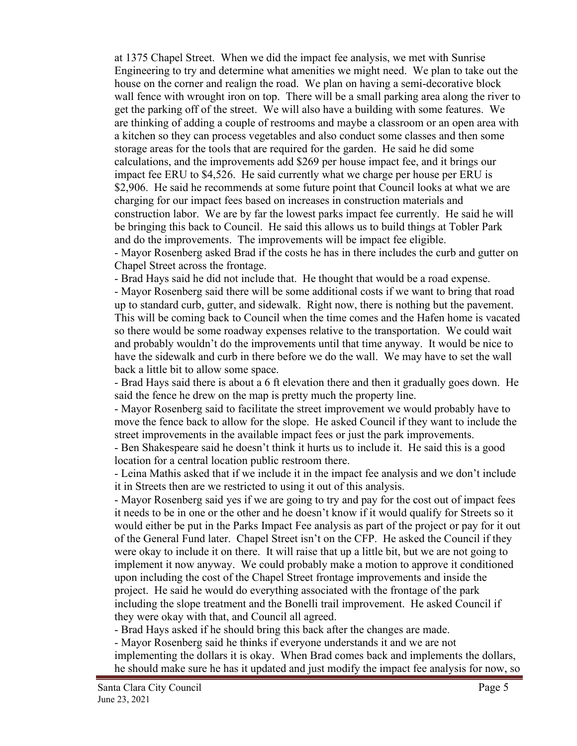at 1375 Chapel Street. When we did the impact fee analysis, we met with Sunrise Engineering to try and determine what amenities we might need. We plan to take out the house on the corner and realign the road. We plan on having a semi-decorative block wall fence with wrought iron on top. There will be a small parking area along the river to get the parking off of the street. We will also have a building with some features. We are thinking of adding a couple of restrooms and maybe a classroom or an open area with a kitchen so they can process vegetables and also conduct some classes and then some storage areas for the tools that are required for the garden. He said he did some calculations, and the improvements add \$269 per house impact fee, and it brings our impact fee ERU to \$4,526. He said currently what we charge per house per ERU is \$2,906. He said he recommends at some future point that Council looks at what we are charging for our impact fees based on increases in construction materials and construction labor. We are by far the lowest parks impact fee currently. He said he will be bringing this back to Council. He said this allows us to build things at Tobler Park and do the improvements. The improvements will be impact fee eligible. - Mayor Rosenberg asked Brad if the costs he has in there includes the curb and gutter on

Chapel Street across the frontage.

- Brad Hays said he did not include that. He thought that would be a road expense.

- Mayor Rosenberg said there will be some additional costs if we want to bring that road up to standard curb, gutter, and sidewalk. Right now, there is nothing but the pavement. This will be coming back to Council when the time comes and the Hafen home is vacated so there would be some roadway expenses relative to the transportation. We could wait and probably wouldn't do the improvements until that time anyway. It would be nice to have the sidewalk and curb in there before we do the wall. We may have to set the wall back a little bit to allow some space.

- Brad Hays said there is about a 6 ft elevation there and then it gradually goes down. He said the fence he drew on the map is pretty much the property line.

- Mayor Rosenberg said to facilitate the street improvement we would probably have to move the fence back to allow for the slope. He asked Council if they want to include the street improvements in the available impact fees or just the park improvements.

- Ben Shakespeare said he doesn't think it hurts us to include it. He said this is a good location for a central location public restroom there.

- Leina Mathis asked that if we include it in the impact fee analysis and we don't include it in Streets then are we restricted to using it out of this analysis.

- Mayor Rosenberg said yes if we are going to try and pay for the cost out of impact fees it needs to be in one or the other and he doesn't know if it would qualify for Streets so it would either be put in the Parks Impact Fee analysis as part of the project or pay for it out of the General Fund later. Chapel Street isn't on the CFP. He asked the Council if they were okay to include it on there. It will raise that up a little bit, but we are not going to implement it now anyway. We could probably make a motion to approve it conditioned upon including the cost of the Chapel Street frontage improvements and inside the project. He said he would do everything associated with the frontage of the park including the slope treatment and the Bonelli trail improvement. He asked Council if they were okay with that, and Council all agreed.

- Brad Hays asked if he should bring this back after the changes are made.

- Mayor Rosenberg said he thinks if everyone understands it and we are not implementing the dollars it is okay. When Brad comes back and implements the dollars, he should make sure he has it updated and just modify the impact fee analysis for now, so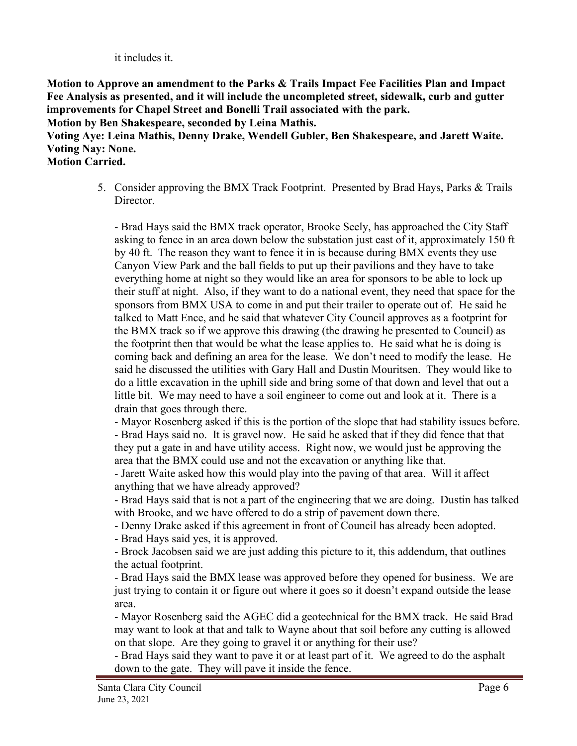it includes it.

**Motion to Approve an amendment to the Parks & Trails Impact Fee Facilities Plan and Impact Fee Analysis as presented, and it will include the uncompleted street, sidewalk, curb and gutter improvements for Chapel Street and Bonelli Trail associated with the park.** 

**Motion by Ben Shakespeare, seconded by Leina Mathis.**

**Voting Aye: Leina Mathis, Denny Drake, Wendell Gubler, Ben Shakespeare, and Jarett Waite. Voting Nay: None.**

**Motion Carried.**

5. Consider approving the BMX Track Footprint. Presented by Brad Hays, Parks & Trails Director.

- Brad Hays said the BMX track operator, Brooke Seely, has approached the City Staff asking to fence in an area down below the substation just east of it, approximately 150 ft by 40 ft. The reason they want to fence it in is because during BMX events they use Canyon View Park and the ball fields to put up their pavilions and they have to take everything home at night so they would like an area for sponsors to be able to lock up their stuff at night. Also, if they want to do a national event, they need that space for the sponsors from BMX USA to come in and put their trailer to operate out of. He said he talked to Matt Ence, and he said that whatever City Council approves as a footprint for the BMX track so if we approve this drawing (the drawing he presented to Council) as the footprint then that would be what the lease applies to. He said what he is doing is coming back and defining an area for the lease. We don't need to modify the lease. He said he discussed the utilities with Gary Hall and Dustin Mouritsen. They would like to do a little excavation in the uphill side and bring some of that down and level that out a little bit. We may need to have a soil engineer to come out and look at it. There is a drain that goes through there.

- Mayor Rosenberg asked if this is the portion of the slope that had stability issues before. - Brad Hays said no. It is gravel now. He said he asked that if they did fence that that they put a gate in and have utility access. Right now, we would just be approving the area that the BMX could use and not the excavation or anything like that.

- Jarett Waite asked how this would play into the paving of that area. Will it affect anything that we have already approved?

- Brad Hays said that is not a part of the engineering that we are doing. Dustin has talked with Brooke, and we have offered to do a strip of pavement down there.

- Denny Drake asked if this agreement in front of Council has already been adopted.

- Brad Hays said yes, it is approved.

- Brock Jacobsen said we are just adding this picture to it, this addendum, that outlines the actual footprint.

- Brad Hays said the BMX lease was approved before they opened for business. We are just trying to contain it or figure out where it goes so it doesn't expand outside the lease area.

- Mayor Rosenberg said the AGEC did a geotechnical for the BMX track. He said Brad may want to look at that and talk to Wayne about that soil before any cutting is allowed on that slope. Are they going to gravel it or anything for their use?

- Brad Hays said they want to pave it or at least part of it. We agreed to do the asphalt down to the gate. They will pave it inside the fence.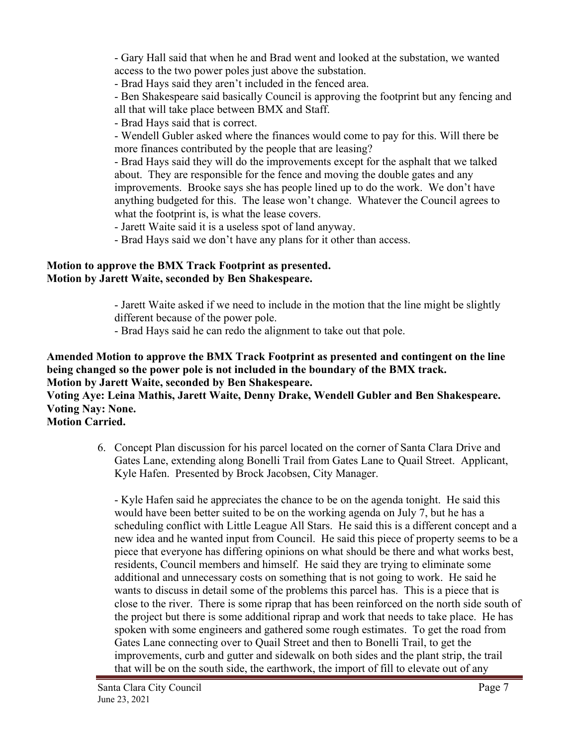- Gary Hall said that when he and Brad went and looked at the substation, we wanted access to the two power poles just above the substation.

- Brad Hays said they aren't included in the fenced area.

- Ben Shakespeare said basically Council is approving the footprint but any fencing and all that will take place between BMX and Staff.

- Brad Hays said that is correct.

- Wendell Gubler asked where the finances would come to pay for this. Will there be more finances contributed by the people that are leasing?

- Brad Hays said they will do the improvements except for the asphalt that we talked about. They are responsible for the fence and moving the double gates and any improvements. Brooke says she has people lined up to do the work. We don't have anything budgeted for this. The lease won't change. Whatever the Council agrees to what the footprint is, is what the lease covers.

- Jarett Waite said it is a useless spot of land anyway.

- Brad Hays said we don't have any plans for it other than access.

## **Motion to approve the BMX Track Footprint as presented. Motion by Jarett Waite, seconded by Ben Shakespeare.**

- Jarett Waite asked if we need to include in the motion that the line might be slightly different because of the power pole.

- Brad Hays said he can redo the alignment to take out that pole.

**Amended Motion to approve the BMX Track Footprint as presented and contingent on the line being changed so the power pole is not included in the boundary of the BMX track. Motion by Jarett Waite, seconded by Ben Shakespeare.**

**Voting Aye: Leina Mathis, Jarett Waite, Denny Drake, Wendell Gubler and Ben Shakespeare. Voting Nay: None.**

**Motion Carried.**

6. Concept Plan discussion for his parcel located on the corner of Santa Clara Drive and Gates Lane, extending along Bonelli Trail from Gates Lane to Quail Street. Applicant, Kyle Hafen. Presented by Brock Jacobsen, City Manager.

- Kyle Hafen said he appreciates the chance to be on the agenda tonight. He said this would have been better suited to be on the working agenda on July 7, but he has a scheduling conflict with Little League All Stars. He said this is a different concept and a new idea and he wanted input from Council. He said this piece of property seems to be a piece that everyone has differing opinions on what should be there and what works best, residents, Council members and himself. He said they are trying to eliminate some additional and unnecessary costs on something that is not going to work. He said he wants to discuss in detail some of the problems this parcel has. This is a piece that is close to the river. There is some riprap that has been reinforced on the north side south of the project but there is some additional riprap and work that needs to take place. He has spoken with some engineers and gathered some rough estimates. To get the road from Gates Lane connecting over to Quail Street and then to Bonelli Trail, to get the improvements, curb and gutter and sidewalk on both sides and the plant strip, the trail that will be on the south side, the earthwork, the import of fill to elevate out of any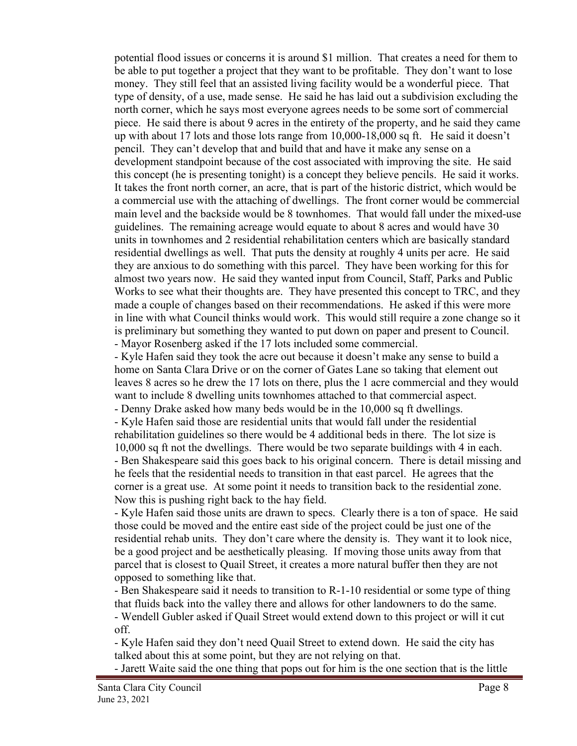potential flood issues or concerns it is around \$1 million. That creates a need for them to be able to put together a project that they want to be profitable. They don't want to lose money. They still feel that an assisted living facility would be a wonderful piece. That type of density, of a use, made sense. He said he has laid out a subdivision excluding the north corner, which he says most everyone agrees needs to be some sort of commercial piece. He said there is about 9 acres in the entirety of the property, and he said they came up with about 17 lots and those lots range from 10,000-18,000 sq ft. He said it doesn't pencil. They can't develop that and build that and have it make any sense on a development standpoint because of the cost associated with improving the site. He said this concept (he is presenting tonight) is a concept they believe pencils. He said it works. It takes the front north corner, an acre, that is part of the historic district, which would be a commercial use with the attaching of dwellings. The front corner would be commercial main level and the backside would be 8 townhomes. That would fall under the mixed-use guidelines. The remaining acreage would equate to about 8 acres and would have 30 units in townhomes and 2 residential rehabilitation centers which are basically standard residential dwellings as well. That puts the density at roughly 4 units per acre. He said they are anxious to do something with this parcel. They have been working for this for almost two years now. He said they wanted input from Council, Staff, Parks and Public Works to see what their thoughts are. They have presented this concept to TRC, and they made a couple of changes based on their recommendations. He asked if this were more in line with what Council thinks would work. This would still require a zone change so it is preliminary but something they wanted to put down on paper and present to Council. - Mayor Rosenberg asked if the 17 lots included some commercial.

- Kyle Hafen said they took the acre out because it doesn't make any sense to build a home on Santa Clara Drive or on the corner of Gates Lane so taking that element out leaves 8 acres so he drew the 17 lots on there, plus the 1 acre commercial and they would want to include 8 dwelling units townhomes attached to that commercial aspect.

- Denny Drake asked how many beds would be in the 10,000 sq ft dwellings.

- Kyle Hafen said those are residential units that would fall under the residential rehabilitation guidelines so there would be 4 additional beds in there. The lot size is 10,000 sq ft not the dwellings. There would be two separate buildings with 4 in each. - Ben Shakespeare said this goes back to his original concern. There is detail missing and he feels that the residential needs to transition in that east parcel. He agrees that the corner is a great use. At some point it needs to transition back to the residential zone. Now this is pushing right back to the hay field.

- Kyle Hafen said those units are drawn to specs. Clearly there is a ton of space. He said those could be moved and the entire east side of the project could be just one of the residential rehab units. They don't care where the density is. They want it to look nice, be a good project and be aesthetically pleasing. If moving those units away from that parcel that is closest to Quail Street, it creates a more natural buffer then they are not opposed to something like that.

- Ben Shakespeare said it needs to transition to R-1-10 residential or some type of thing that fluids back into the valley there and allows for other landowners to do the same. - Wendell Gubler asked if Quail Street would extend down to this project or will it cut off.

- Kyle Hafen said they don't need Quail Street to extend down. He said the city has talked about this at some point, but they are not relying on that.

- Jarett Waite said the one thing that pops out for him is the one section that is the little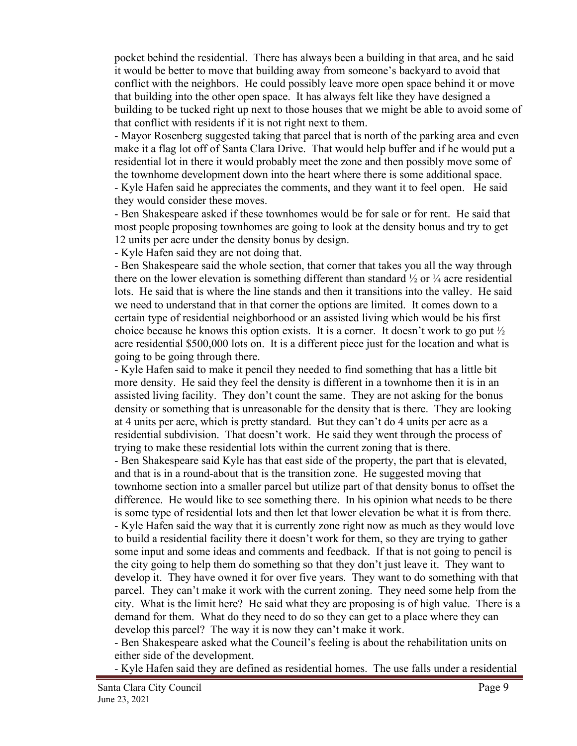pocket behind the residential. There has always been a building in that area, and he said it would be better to move that building away from someone's backyard to avoid that conflict with the neighbors. He could possibly leave more open space behind it or move that building into the other open space. It has always felt like they have designed a building to be tucked right up next to those houses that we might be able to avoid some of that conflict with residents if it is not right next to them.

- Mayor Rosenberg suggested taking that parcel that is north of the parking area and even make it a flag lot off of Santa Clara Drive. That would help buffer and if he would put a residential lot in there it would probably meet the zone and then possibly move some of the townhome development down into the heart where there is some additional space. - Kyle Hafen said he appreciates the comments, and they want it to feel open. He said

they would consider these moves.

- Ben Shakespeare asked if these townhomes would be for sale or for rent. He said that most people proposing townhomes are going to look at the density bonus and try to get 12 units per acre under the density bonus by design.

- Kyle Hafen said they are not doing that.

- Ben Shakespeare said the whole section, that corner that takes you all the way through there on the lower elevation is something different than standard  $\frac{1}{2}$  or  $\frac{1}{4}$  acre residential lots. He said that is where the line stands and then it transitions into the valley. He said we need to understand that in that corner the options are limited. It comes down to a certain type of residential neighborhood or an assisted living which would be his first choice because he knows this option exists. It is a corner. It doesn't work to go put  $\frac{1}{2}$ acre residential \$500,000 lots on. It is a different piece just for the location and what is going to be going through there.

- Kyle Hafen said to make it pencil they needed to find something that has a little bit more density. He said they feel the density is different in a townhome then it is in an assisted living facility. They don't count the same. They are not asking for the bonus density or something that is unreasonable for the density that is there. They are looking at 4 units per acre, which is pretty standard. But they can't do 4 units per acre as a residential subdivision. That doesn't work. He said they went through the process of trying to make these residential lots within the current zoning that is there.

- Ben Shakespeare said Kyle has that east side of the property, the part that is elevated, and that is in a round-about that is the transition zone. He suggested moving that townhome section into a smaller parcel but utilize part of that density bonus to offset the difference. He would like to see something there. In his opinion what needs to be there is some type of residential lots and then let that lower elevation be what it is from there. - Kyle Hafen said the way that it is currently zone right now as much as they would love to build a residential facility there it doesn't work for them, so they are trying to gather some input and some ideas and comments and feedback. If that is not going to pencil is the city going to help them do something so that they don't just leave it. They want to develop it. They have owned it for over five years. They want to do something with that parcel. They can't make it work with the current zoning. They need some help from the city. What is the limit here? He said what they are proposing is of high value. There is a demand for them. What do they need to do so they can get to a place where they can develop this parcel? The way it is now they can't make it work.

- Ben Shakespeare asked what the Council's feeling is about the rehabilitation units on either side of the development.

- Kyle Hafen said they are defined as residential homes. The use falls under a residential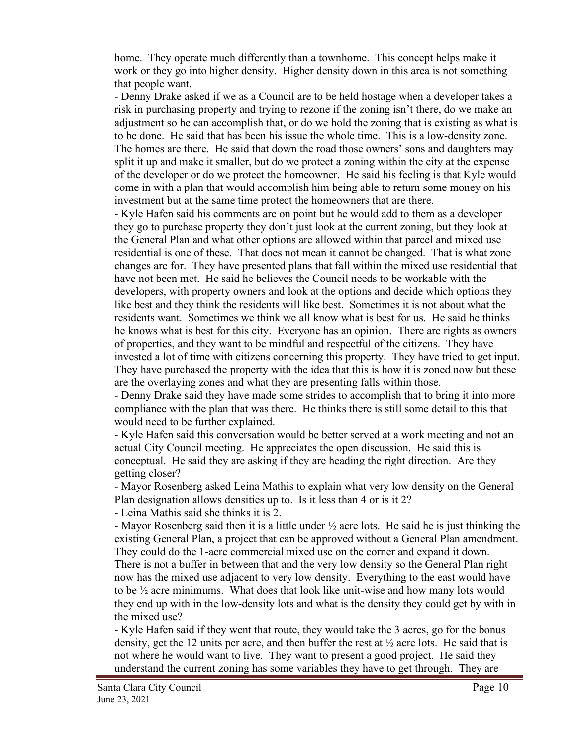home. They operate much differently than a townhome. This concept helps make it work or they go into higher density. Higher density down in this area is not something that people want.

- Denny Drake asked if we as a Council are to be held hostage when a developer takes a risk in purchasing property and trying to rezone if the zoning isn't there, do we make an adjustment so he can accomplish that, or do we hold the zoning that is existing as what is to be done. He said that has been his issue the whole time. This is a low-density zone. The homes are there. He said that down the road those owners' sons and daughters may split it up and make it smaller, but do we protect a zoning within the city at the expense of the developer or do we protect the homeowner. He said his feeling is that Kyle would come in with a plan that would accomplish him being able to return some money on his investment but at the same time protect the homeowners that are there.

- Kyle Hafen said his comments are on point but he would add to them as a developer they go to purchase property they don't just look at the current zoning, but they look at the General Plan and what other options are allowed within that parcel and mixed use residential is one of these. That does not mean it cannot be changed. That is what zone changes are for. They have presented plans that fall within the mixed use residential that have not been met. He said he believes the Council needs to be workable with the developers, with property owners and look at the options and decide which options they like best and they think the residents will like best. Sometimes it is not about what the residents want. Sometimes we think we all know what is best for us. He said he thinks he knows what is best for this city. Everyone has an opinion. There are rights as owners of properties, and they want to be mindful and respectful of the citizens. They have invested a lot of time with citizens concerning this property. They have tried to get input. They have purchased the property with the idea that this is how it is zoned now but these are the overlaying zones and what they are presenting falls within those.

- Denny Drake said they have made some strides to accomplish that to bring it into more compliance with the plan that was there. He thinks there is still some detail to this that would need to be further explained.

- Kyle Hafen said this conversation would be better served at a work meeting and not an actual City Council meeting. He appreciates the open discussion. He said this is conceptual. He said they are asking if they are heading the right direction. Are they getting closer?

- Mayor Rosenberg asked Leina Mathis to explain what very low density on the General Plan designation allows densities up to. Is it less than 4 or is it 2?

- Leina Mathis said she thinks it is 2.

- Mayor Rosenberg said then it is a little under  $\frac{1}{2}$  acre lots. He said he is just thinking the existing General Plan, a project that can be approved without a General Plan amendment. They could do the 1-acre commercial mixed use on the corner and expand it down. There is not a buffer in between that and the very low density so the General Plan right now has the mixed use adjacent to very low density. Everything to the east would have to be ½ acre minimums. What does that look like unit-wise and how many lots would they end up with in the low-density lots and what is the density they could get by with in the mixed use?

- Kyle Hafen said if they went that route, they would take the 3 acres, go for the bonus density, get the 12 units per acre, and then buffer the rest at  $\frac{1}{2}$  acre lots. He said that is not where he would want to live. They want to present a good project. He said they understand the current zoning has some variables they have to get through. They are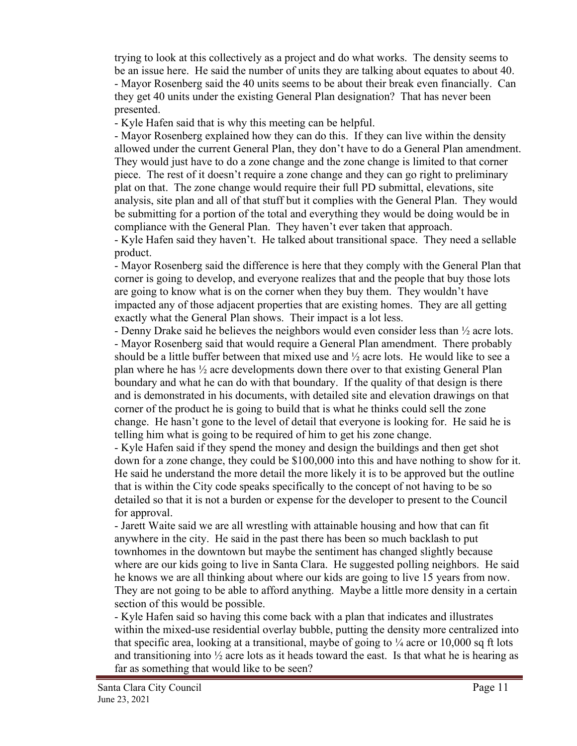trying to look at this collectively as a project and do what works. The density seems to be an issue here. He said the number of units they are talking about equates to about 40. - Mayor Rosenberg said the 40 units seems to be about their break even financially. Can they get 40 units under the existing General Plan designation? That has never been presented.

- Kyle Hafen said that is why this meeting can be helpful.

- Mayor Rosenberg explained how they can do this. If they can live within the density allowed under the current General Plan, they don't have to do a General Plan amendment. They would just have to do a zone change and the zone change is limited to that corner piece. The rest of it doesn't require a zone change and they can go right to preliminary plat on that. The zone change would require their full PD submittal, elevations, site analysis, site plan and all of that stuff but it complies with the General Plan. They would be submitting for a portion of the total and everything they would be doing would be in compliance with the General Plan. They haven't ever taken that approach.

- Kyle Hafen said they haven't. He talked about transitional space. They need a sellable product.

- Mayor Rosenberg said the difference is here that they comply with the General Plan that corner is going to develop, and everyone realizes that and the people that buy those lots are going to know what is on the corner when they buy them. They wouldn't have impacted any of those adjacent properties that are existing homes. They are all getting exactly what the General Plan shows. Their impact is a lot less.

- Denny Drake said he believes the neighbors would even consider less than ½ acre lots. - Mayor Rosenberg said that would require a General Plan amendment. There probably should be a little buffer between that mixed use and  $\frac{1}{2}$  acre lots. He would like to see a plan where he has ½ acre developments down there over to that existing General Plan boundary and what he can do with that boundary. If the quality of that design is there and is demonstrated in his documents, with detailed site and elevation drawings on that corner of the product he is going to build that is what he thinks could sell the zone change. He hasn't gone to the level of detail that everyone is looking for. He said he is telling him what is going to be required of him to get his zone change.

- Kyle Hafen said if they spend the money and design the buildings and then get shot down for a zone change, they could be \$100,000 into this and have nothing to show for it. He said he understand the more detail the more likely it is to be approved but the outline that is within the City code speaks specifically to the concept of not having to be so detailed so that it is not a burden or expense for the developer to present to the Council for approval.

- Jarett Waite said we are all wrestling with attainable housing and how that can fit anywhere in the city. He said in the past there has been so much backlash to put townhomes in the downtown but maybe the sentiment has changed slightly because where are our kids going to live in Santa Clara. He suggested polling neighbors. He said he knows we are all thinking about where our kids are going to live 15 years from now. They are not going to be able to afford anything. Maybe a little more density in a certain section of this would be possible.

- Kyle Hafen said so having this come back with a plan that indicates and illustrates within the mixed-use residential overlay bubble, putting the density more centralized into that specific area, looking at a transitional, maybe of going to  $\frac{1}{4}$  acre or 10,000 sq ft lots and transitioning into  $\frac{1}{2}$  acre lots as it heads toward the east. Is that what he is hearing as far as something that would like to be seen?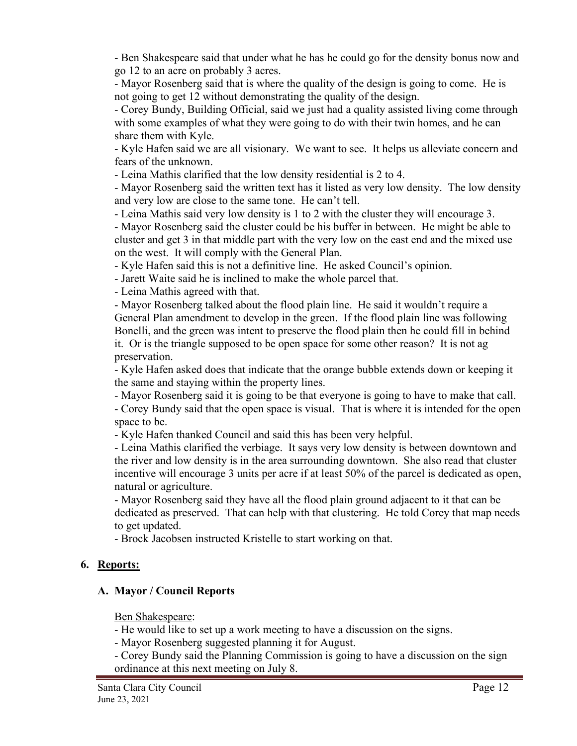- Ben Shakespeare said that under what he has he could go for the density bonus now and go 12 to an acre on probably 3 acres.

- Mayor Rosenberg said that is where the quality of the design is going to come. He is not going to get 12 without demonstrating the quality of the design.

- Corey Bundy, Building Official, said we just had a quality assisted living come through with some examples of what they were going to do with their twin homes, and he can share them with Kyle.

- Kyle Hafen said we are all visionary. We want to see. It helps us alleviate concern and fears of the unknown.

- Leina Mathis clarified that the low density residential is 2 to 4.

- Mayor Rosenberg said the written text has it listed as very low density. The low density and very low are close to the same tone. He can't tell.

- Leina Mathis said very low density is 1 to 2 with the cluster they will encourage 3.

- Mayor Rosenberg said the cluster could be his buffer in between. He might be able to cluster and get 3 in that middle part with the very low on the east end and the mixed use on the west. It will comply with the General Plan.

- Kyle Hafen said this is not a definitive line. He asked Council's opinion.

- Jarett Waite said he is inclined to make the whole parcel that.

- Leina Mathis agreed with that.

- Mayor Rosenberg talked about the flood plain line. He said it wouldn't require a General Plan amendment to develop in the green. If the flood plain line was following Bonelli, and the green was intent to preserve the flood plain then he could fill in behind it. Or is the triangle supposed to be open space for some other reason? It is not ag preservation.

- Kyle Hafen asked does that indicate that the orange bubble extends down or keeping it the same and staying within the property lines.

- Mayor Rosenberg said it is going to be that everyone is going to have to make that call.

- Corey Bundy said that the open space is visual. That is where it is intended for the open space to be.

- Kyle Hafen thanked Council and said this has been very helpful.

- Leina Mathis clarified the verbiage. It says very low density is between downtown and the river and low density is in the area surrounding downtown. She also read that cluster incentive will encourage 3 units per acre if at least 50% of the parcel is dedicated as open, natural or agriculture.

- Mayor Rosenberg said they have all the flood plain ground adjacent to it that can be dedicated as preserved. That can help with that clustering. He told Corey that map needs to get updated.

- Brock Jacobsen instructed Kristelle to start working on that.

# **6. Reports:**

# **A. Mayor / Council Reports**

Ben Shakespeare:

- He would like to set up a work meeting to have a discussion on the signs.

- Mayor Rosenberg suggested planning it for August.

- Corey Bundy said the Planning Commission is going to have a discussion on the sign ordinance at this next meeting on July 8.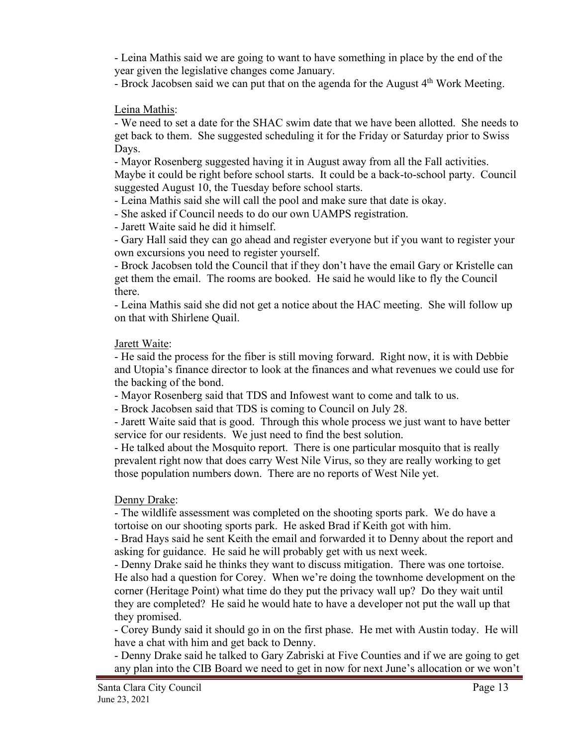- Leina Mathis said we are going to want to have something in place by the end of the year given the legislative changes come January.

- Brock Jacobsen said we can put that on the agenda for the August 4<sup>th</sup> Work Meeting.

## Leina Mathis:

- We need to set a date for the SHAC swim date that we have been allotted. She needs to get back to them. She suggested scheduling it for the Friday or Saturday prior to Swiss Days.

- Mayor Rosenberg suggested having it in August away from all the Fall activities. Maybe it could be right before school starts. It could be a back-to-school party. Council suggested August 10, the Tuesday before school starts.

- Leina Mathis said she will call the pool and make sure that date is okay.

- She asked if Council needs to do our own UAMPS registration.

- Jarett Waite said he did it himself.

- Gary Hall said they can go ahead and register everyone but if you want to register your own excursions you need to register yourself.

- Brock Jacobsen told the Council that if they don't have the email Gary or Kristelle can get them the email. The rooms are booked. He said he would like to fly the Council there.

- Leina Mathis said she did not get a notice about the HAC meeting. She will follow up on that with Shirlene Quail.

## Jarett Waite:

- He said the process for the fiber is still moving forward. Right now, it is with Debbie and Utopia's finance director to look at the finances and what revenues we could use for the backing of the bond.

- Mayor Rosenberg said that TDS and Infowest want to come and talk to us.

- Brock Jacobsen said that TDS is coming to Council on July 28.

- Jarett Waite said that is good. Through this whole process we just want to have better service for our residents. We just need to find the best solution.

- He talked about the Mosquito report. There is one particular mosquito that is really prevalent right now that does carry West Nile Virus, so they are really working to get those population numbers down. There are no reports of West Nile yet.

# Denny Drake:

- The wildlife assessment was completed on the shooting sports park. We do have a tortoise on our shooting sports park. He asked Brad if Keith got with him.

- Brad Hays said he sent Keith the email and forwarded it to Denny about the report and asking for guidance. He said he will probably get with us next week.

- Denny Drake said he thinks they want to discuss mitigation. There was one tortoise. He also had a question for Corey. When we're doing the townhome development on the corner (Heritage Point) what time do they put the privacy wall up? Do they wait until they are completed? He said he would hate to have a developer not put the wall up that they promised.

- Corey Bundy said it should go in on the first phase. He met with Austin today. He will have a chat with him and get back to Denny.

- Denny Drake said he talked to Gary Zabriski at Five Counties and if we are going to get any plan into the CIB Board we need to get in now for next June's allocation or we won't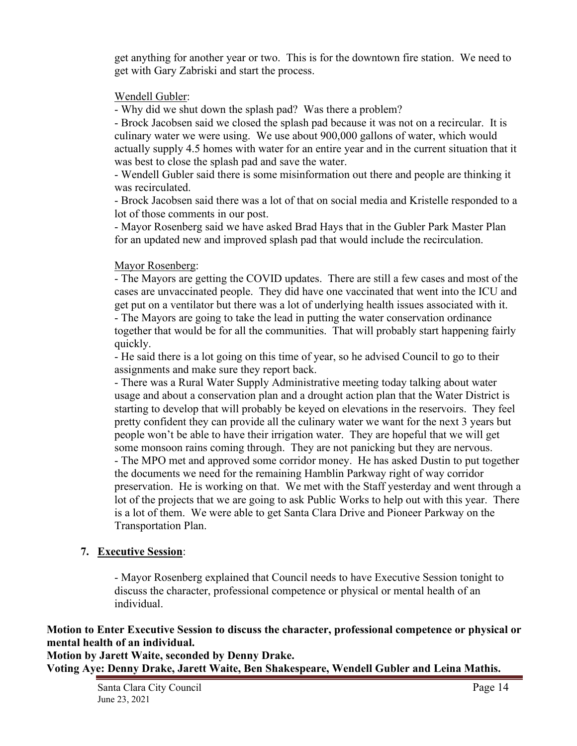get anything for another year or two. This is for the downtown fire station. We need to get with Gary Zabriski and start the process.

### Wendell Gubler:

- Why did we shut down the splash pad? Was there a problem?

- Brock Jacobsen said we closed the splash pad because it was not on a recircular. It is culinary water we were using. We use about 900,000 gallons of water, which would actually supply 4.5 homes with water for an entire year and in the current situation that it was best to close the splash pad and save the water.

- Wendell Gubler said there is some misinformation out there and people are thinking it was recirculated.

- Brock Jacobsen said there was a lot of that on social media and Kristelle responded to a lot of those comments in our post.

- Mayor Rosenberg said we have asked Brad Hays that in the Gubler Park Master Plan for an updated new and improved splash pad that would include the recirculation.

### Mayor Rosenberg:

- The Mayors are getting the COVID updates. There are still a few cases and most of the cases are unvaccinated people. They did have one vaccinated that went into the ICU and get put on a ventilator but there was a lot of underlying health issues associated with it. - The Mayors are going to take the lead in putting the water conservation ordinance

together that would be for all the communities. That will probably start happening fairly quickly.

- He said there is a lot going on this time of year, so he advised Council to go to their assignments and make sure they report back.

- There was a Rural Water Supply Administrative meeting today talking about water usage and about a conservation plan and a drought action plan that the Water District is starting to develop that will probably be keyed on elevations in the reservoirs. They feel pretty confident they can provide all the culinary water we want for the next 3 years but people won't be able to have their irrigation water. They are hopeful that we will get some monsoon rains coming through. They are not panicking but they are nervous. - The MPO met and approved some corridor money. He has asked Dustin to put together the documents we need for the remaining Hamblin Parkway right of way corridor preservation. He is working on that. We met with the Staff yesterday and went through a lot of the projects that we are going to ask Public Works to help out with this year. There is a lot of them. We were able to get Santa Clara Drive and Pioneer Parkway on the Transportation Plan.

### **7. Executive Session**:

- Mayor Rosenberg explained that Council needs to have Executive Session tonight to discuss the character, professional competence or physical or mental health of an individual.

**Motion to Enter Executive Session to discuss the character, professional competence or physical or mental health of an individual.** 

**Motion by Jarett Waite, seconded by Denny Drake. Voting Aye: Denny Drake, Jarett Waite, Ben Shakespeare, Wendell Gubler and Leina Mathis.**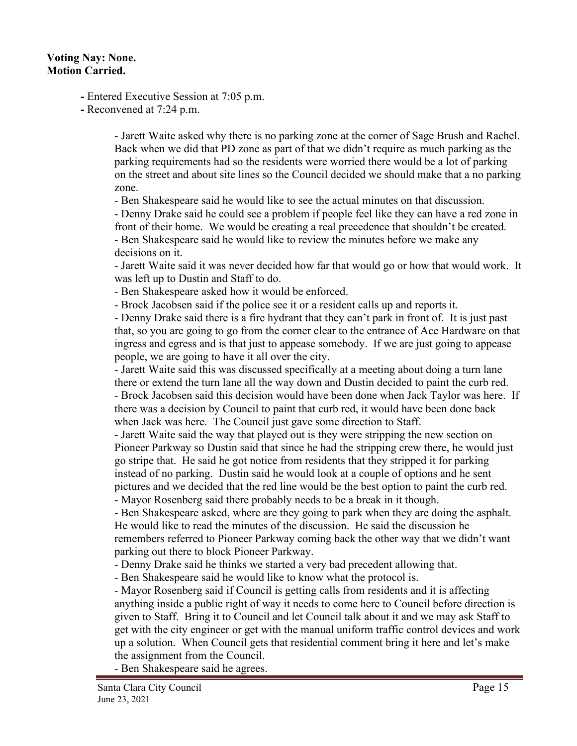### **Voting Nay: None. Motion Carried.**

**-** Entered Executive Session at 7:05 p.m.

**-** Reconvened at 7:24 p.m.

- Jarett Waite asked why there is no parking zone at the corner of Sage Brush and Rachel. Back when we did that PD zone as part of that we didn't require as much parking as the parking requirements had so the residents were worried there would be a lot of parking on the street and about site lines so the Council decided we should make that a no parking zone.

- Ben Shakespeare said he would like to see the actual minutes on that discussion.

- Denny Drake said he could see a problem if people feel like they can have a red zone in front of their home. We would be creating a real precedence that shouldn't be created. - Ben Shakespeare said he would like to review the minutes before we make any decisions on it.

- Jarett Waite said it was never decided how far that would go or how that would work. It was left up to Dustin and Staff to do.

- Ben Shakespeare asked how it would be enforced.

- Brock Jacobsen said if the police see it or a resident calls up and reports it.

- Denny Drake said there is a fire hydrant that they can't park in front of. It is just past that, so you are going to go from the corner clear to the entrance of Ace Hardware on that ingress and egress and is that just to appease somebody. If we are just going to appease people, we are going to have it all over the city.

- Jarett Waite said this was discussed specifically at a meeting about doing a turn lane there or extend the turn lane all the way down and Dustin decided to paint the curb red. - Brock Jacobsen said this decision would have been done when Jack Taylor was here. If there was a decision by Council to paint that curb red, it would have been done back when Jack was here. The Council just gave some direction to Staff.

- Jarett Waite said the way that played out is they were stripping the new section on Pioneer Parkway so Dustin said that since he had the stripping crew there, he would just go stripe that. He said he got notice from residents that they stripped it for parking instead of no parking. Dustin said he would look at a couple of options and he sent pictures and we decided that the red line would be the best option to paint the curb red. - Mayor Rosenberg said there probably needs to be a break in it though.

- Ben Shakespeare asked, where are they going to park when they are doing the asphalt. He would like to read the minutes of the discussion. He said the discussion he remembers referred to Pioneer Parkway coming back the other way that we didn't want parking out there to block Pioneer Parkway.

- Denny Drake said he thinks we started a very bad precedent allowing that.

- Ben Shakespeare said he would like to know what the protocol is.

- Mayor Rosenberg said if Council is getting calls from residents and it is affecting anything inside a public right of way it needs to come here to Council before direction is given to Staff. Bring it to Council and let Council talk about it and we may ask Staff to get with the city engineer or get with the manual uniform traffic control devices and work up a solution. When Council gets that residential comment bring it here and let's make the assignment from the Council.

- Ben Shakespeare said he agrees.